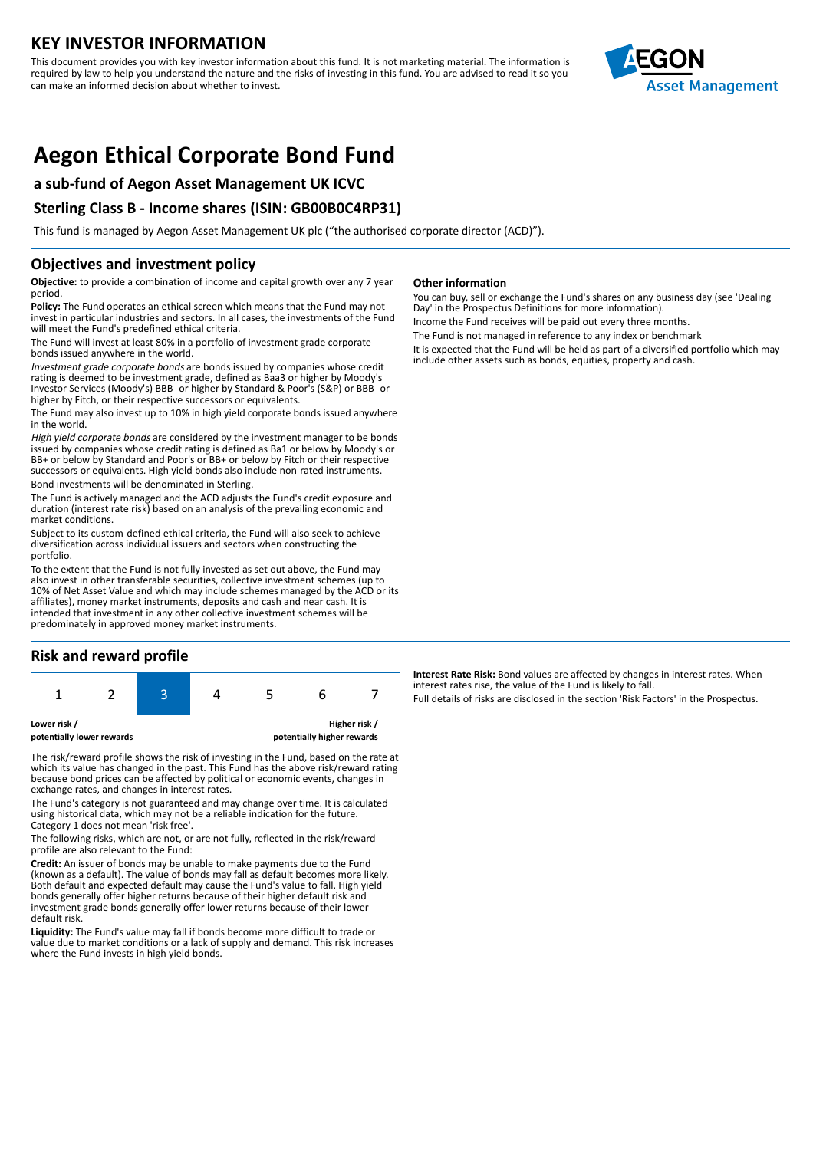## **KEY INVESTOR INFORMATION**

This document provides you with key investor information about this fund. It is not marketing material. The information is required by law to help you understand the nature and the risks of investing in this fund. You are advised to read it so you can make an informed decision about whether to invest.



# **Aegon Ethical Corporate Bond Fund**

## **a sub-fund of Aegon Asset Management UK ICVC**

## **Sterling Class B - Income shares (ISIN: GB00B0C4RP31)**

This fund is managed by Aegon Asset Management UK plc ("the authorised corporate director (ACD)").

## **Objectives and investment policy**

**Objective:** to provide a combination of income and capital growth over any 7 year period.

**Policy:** The Fund operates an ethical screen which means that the Fund may not invest in particular industries and sectors. In all cases, the investments of the Fund will meet the Fund's predefined ethical criteria.

The Fund will invest at least 80% in a portfolio of investment grade corporate bonds issued anywhere in the world.

Investment grade corporate bonds are bonds issued by companies whose credit rating is deemed to be investment grade, defined as Baa3 or higher by Moody's Investor Services (Moody's) BBB- or higher by Standard & Poor's (S&P) or BBB- or higher by Fitch, or their respective successors or equivalents.

The Fund may also invest up to 10% in high yield corporate bonds issued anywhere in the world.

High yield corporate bonds are considered by the investment manager to be bonds issued by companies whose credit rating is defined as Ba1 or below by Moody's or BB+ or below by Standard and Poor's or BB+ or below by Fitch or their respective successors or equivalents. High yield bonds also include non-rated instruments.

Bond investments will be denominated in Sterling.

The Fund is actively managed and the ACD adjusts the Fund's credit exposure and duration (interest rate risk) based on an analysis of the prevailing economic and market conditions.

Subject to its custom-defined ethical criteria, the Fund will also seek to achieve diversification across individual issuers and sectors when constructing the portfolio.

To the extent that the Fund is not fully invested as set out above, the Fund may also invest in other transferable securities, collective investment schemes (up to 10% of Net Asset Value and which may include schemes managed by the ACD or its affiliates), money market instruments, deposits and cash and near cash. It is intended that investment in any other collective investment schemes will be predominately in approved money market instruments.

## **Risk and reward profile**



The risk/reward profile shows the risk of investing in the Fund, based on the rate at which its value has changed in the past. This Fund has the above risk/reward rating because bond prices can be affected by political or economic events, changes in exchange rates, and changes in interest rates.

The Fund's category is not guaranteed and may change over time. It is calculated using historical data, which may not be a reliable indication for the future. Category 1 does not mean 'risk free'.

The following risks, which are not, or are not fully, reflected in the risk/reward profile are also relevant to the Fund:

**Credit:** An issuer of bonds may be unable to make payments due to the Fund (known as a default). The value of bonds may fall as default becomes more likely. Both default and expected default may cause the Fund's value to fall. High yield bonds generally offer higher returns because of their higher default risk and investment grade bonds generally offer lower returns because of their lower default risk.

**Liquidity:** The Fund's value may fall if bonds become more difficult to trade or value due to market conditions or a lack of supply and demand. This risk increases where the Fund invests in high yield bonds.

#### **Other information**

You can buy, sell or exchange the Fund's shares on any business day (see 'Dealing Day' in the Prospectus Definitions for more information). Income the Fund receives will be paid out every three months.

The Fund is not managed in reference to any index or benchmark

It is expected that the Fund will be held as part of a diversified portfolio which may include other assets such as bonds, equities, property and cash.

**Interest Rate Risk:** Bond values are affected by changes in interest rates. When interest rates rise, the value of the Fund is likely to fall.

Full details of risks are disclosed in the section 'Risk Factors' in the Prospectus.